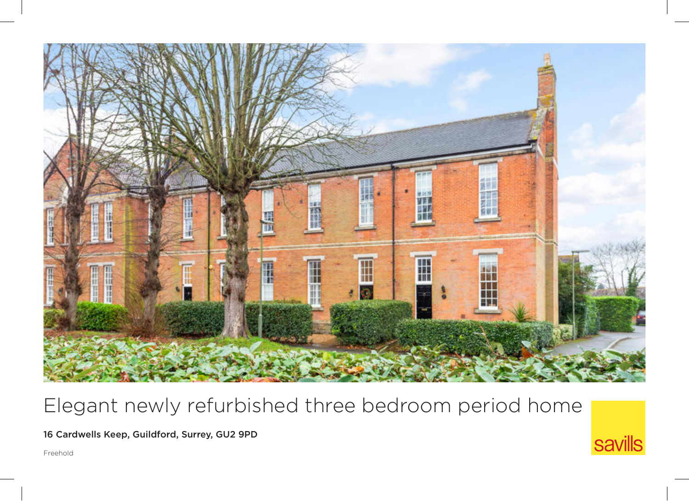

## Elegant newly refurbished three bedroom period home

16 Cardwells Keep, Guildford, Surrey, GU2 9PD

Freehold

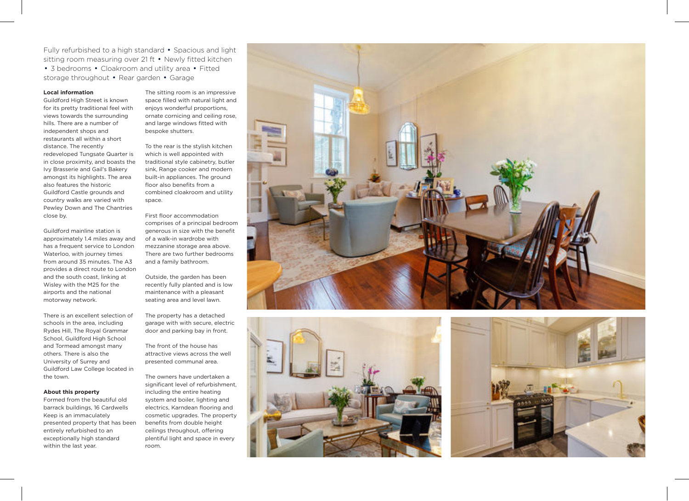Fully refurbished to a high standard • Spacious and light sitting room measuring over 21 ft • Newly fitted kitchen • 3 bedrooms • Cloakroom and utility area • Fitted storage throughout • Rear garden • Garage

## **Local information**

Guildford High Street is known for its pretty traditional feel with views towards the surrounding hills. There are a number of independent shops and restaurants all within a short distance. The recently redeveloped Tungsate Quarter is in close proximity, and boasts the Ivy Brasserie and Gail's Bakery amongst its highlights. The area also features the historic Guildford Castle grounds and country walks are varied with Pewley Down and The Chantries close by.

Guildford mainline station is approximately 1.4 miles away and has a frequent service to London Waterloo, with journey times from around 35 minutes. The A3 provides a direct route to London and the south coast, linking at Wisley with the M25 for the airports and the national motorway network.

There is an excellent selection of schools in the area, including Rydes Hill, The Royal Grammar School, Guildford High School and Tormead amongst many others. There is also the University of Surrey and Guildford Law College located in the town.

## **About this property**

Formed from the beautiful old barrack buildings, 16 Cardwells Keep is an immaculately presented property that has been entirely refurbished to an exceptionally high standard within the last year.

The sitting room is an impressive space filled with natural light and enjoys wonderful proportions, ornate cornicing and ceiling rose, and large windows fitted with bespoke shutters.

To the rear is the stylish kitchen which is well appointed with traditional style cabinetry, butler sink, Range cooker and modern built-in appliances. The ground floor also benefits from a combined cloakroom and utility space.

First floor accommodation comprises of a principal bedroom generous in size with the benefit of a walk-in wardrobe with mezzanine storage area above. There are two further bedrooms and a family bathroom.

Outside, the garden has been recently fully planted and is low maintenance with a pleasant seating area and level lawn.

The property has a detached garage with with secure, electric door and parking bay in front.

The front of the house has attractive views across the well presented communal area.

The owners have undertaken a significant level of refurbishment, including the entire heating system and boiler, lighting and electrics, Karndean flooring and cosmetic upgrades. The property benefits from double height ceilings throughout, offering plentiful light and space in every room.





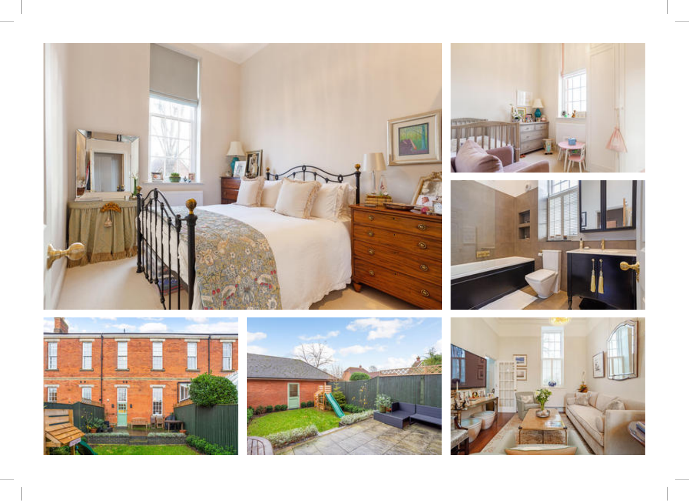